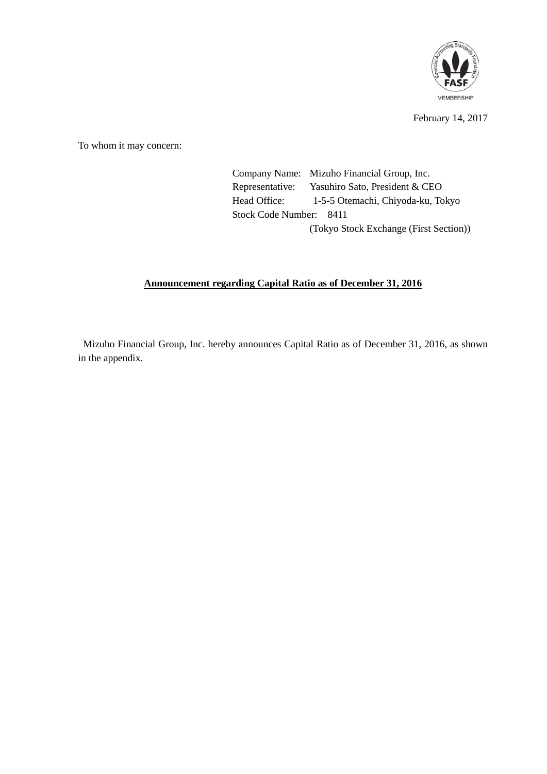

February 14, 2017

To whom it may concern:

Company Name: Mizuho Financial Group, Inc. Representative: Yasuhiro Sato, President & CEO Head Office: 1-5-5 Otemachi, Chiyoda-ku, Tokyo Stock Code Number: 8411 (Tokyo Stock Exchange (First Section))

## **Announcement regarding Capital Ratio as of December 31, 2016**

Mizuho Financial Group, Inc. hereby announces Capital Ratio as of December 31, 2016, as shown in the appendix.